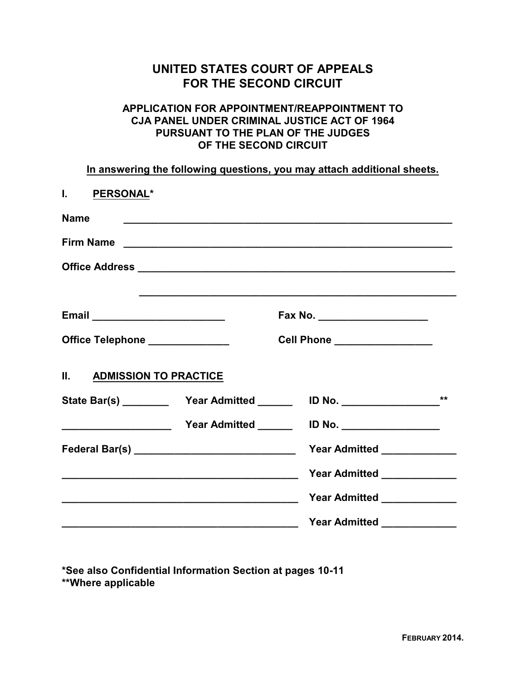# **UNITED STATES COURT OF APPEALS FOR THE SECOND CIRCUIT**

#### **APPLICATION FOR APPOINTMENT/REAPPOINTMENT TO CJA PANEL UNDER CRIMINAL JUSTICE ACT OF 1964 PURSUANT TO THE PLAN OF THE JUDGES OF THE SECOND CIRCUIT**

**In answering the following questions, you may attach additional sheets.**

| I. PERSONAL*                    |                                                                                                                                                                                                                                      |                                                                                  |       |
|---------------------------------|--------------------------------------------------------------------------------------------------------------------------------------------------------------------------------------------------------------------------------------|----------------------------------------------------------------------------------|-------|
| <b>Name</b>                     |                                                                                                                                                                                                                                      | <u> 1989 - Johann Stoff, amerikansk politiker (d. 1989)</u>                      |       |
|                                 |                                                                                                                                                                                                                                      |                                                                                  |       |
|                                 |                                                                                                                                                                                                                                      |                                                                                  |       |
|                                 |                                                                                                                                                                                                                                      |                                                                                  |       |
|                                 |                                                                                                                                                                                                                                      | Fax No. ______________________                                                   |       |
| Office Telephone ______________ |                                                                                                                                                                                                                                      | Cell Phone _________________                                                     |       |
| II. ADMISSION TO PRACTICE       |                                                                                                                                                                                                                                      |                                                                                  |       |
|                                 |                                                                                                                                                                                                                                      | State Bar(s) _____________ Year Admitted ___________ ID No. ____________________ | $***$ |
|                                 |                                                                                                                                                                                                                                      |                                                                                  |       |
|                                 |                                                                                                                                                                                                                                      | Year Admitted <b>No. 1998</b>                                                    |       |
|                                 |                                                                                                                                                                                                                                      | Year Admitted ______________                                                     |       |
|                                 |                                                                                                                                                                                                                                      | Year Admitted _____________                                                      |       |
|                                 | <u> 1989 - Johann Harry Harry Harry Harry Harry Harry Harry Harry Harry Harry Harry Harry Harry Harry Harry Harry Harry Harry Harry Harry Harry Harry Harry Harry Harry Harry Harry Harry Harry Harry Harry Harry Harry Harry Ha</u> | Year Admitted _______________                                                    |       |

**\*See also Confidential Information Section at pages 10-11 \*\*Where applicable**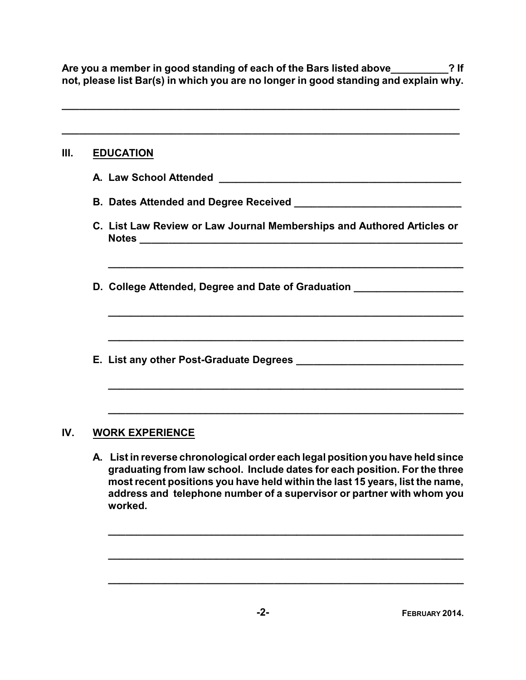**Are you a member in good standing of each of the Bars listed above\_\_\_\_\_\_\_\_\_\_? If not, please list Bar(s) in which you are no longer in good standing and explain why.**

**\_\_\_\_\_\_\_\_\_\_\_\_\_\_\_\_\_\_\_\_\_\_\_\_\_\_\_\_\_\_\_\_\_\_\_\_\_\_\_\_\_\_\_\_\_\_\_\_\_\_\_\_\_\_\_\_\_\_\_\_\_\_\_\_\_\_\_\_\_**

| Ш.  |                        | <b>EDUCATION</b>                                                                                                                                                                                                                                                                                                                 |  |  |  |
|-----|------------------------|----------------------------------------------------------------------------------------------------------------------------------------------------------------------------------------------------------------------------------------------------------------------------------------------------------------------------------|--|--|--|
|     |                        | A. Law School Attended<br><u> 1989 - Johann Barn, margaret eta idazlea (h. 1989).</u>                                                                                                                                                                                                                                            |  |  |  |
|     |                        | B. Dates Attended and Degree Received Manuscripture and Manuscripture and Degree Received                                                                                                                                                                                                                                        |  |  |  |
|     |                        | C. List Law Review or Law Journal Memberships and Authored Articles or                                                                                                                                                                                                                                                           |  |  |  |
|     |                        | D. College Attended, Degree and Date of Graduation _____________________________                                                                                                                                                                                                                                                 |  |  |  |
|     |                        |                                                                                                                                                                                                                                                                                                                                  |  |  |  |
|     |                        |                                                                                                                                                                                                                                                                                                                                  |  |  |  |
|     |                        |                                                                                                                                                                                                                                                                                                                                  |  |  |  |
| IV. | <b>WORK EXPERIENCE</b> |                                                                                                                                                                                                                                                                                                                                  |  |  |  |
|     |                        | A. List in reverse chronological order each legal position you have held since<br>graduating from law school. Include dates for each position. For the three<br>most recent positions you have held within the last 15 years, list the name,<br>address and telephone number of a supervisor or partner with whom you<br>worked. |  |  |  |

**\_\_\_\_\_\_\_\_\_\_\_\_\_\_\_\_\_\_\_\_\_\_\_\_\_\_\_\_\_\_\_\_\_\_\_\_\_\_\_\_\_\_\_\_\_\_\_\_\_\_\_\_\_\_\_\_\_\_\_\_\_\_**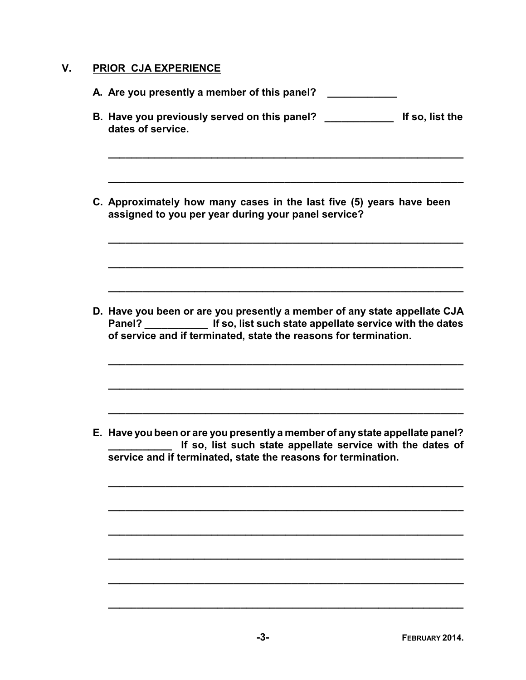## **V. PRIOR CJA EXPERIENCE**

| A. Are you presently a member of this panel?                                                                                                                                                                                     |
|----------------------------------------------------------------------------------------------------------------------------------------------------------------------------------------------------------------------------------|
| B. Have you previously served on this panel?<br>dates of service.                                                                                                                                                                |
| C. Approximately how many cases in the last five (5) years have been<br>assigned to you per year during your panel service?                                                                                                      |
| D. Have you been or are you presently a member of any state appellate CJA<br>Panel? ________________ If so, list such state appellate service with the dates<br>of service and if terminated, state the reasons for termination. |
| E. Have you been or are you presently a member of any state appellate panel?<br>If so, list such state appellate service with the dates of<br>service and if terminated, state the reasons for termination.                      |
|                                                                                                                                                                                                                                  |

**\_\_\_\_\_\_\_\_\_\_\_\_\_\_\_\_\_\_\_\_\_\_\_\_\_\_\_\_\_\_\_\_\_\_\_\_\_\_\_\_\_\_\_\_\_\_\_\_\_\_\_\_\_\_\_\_\_\_\_\_\_\_**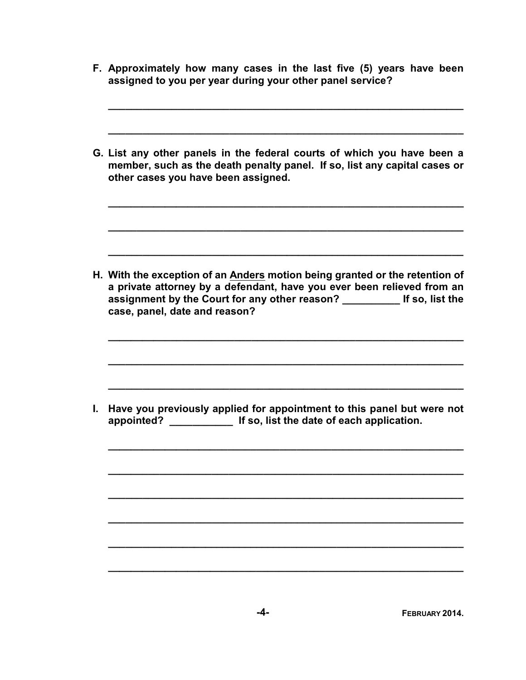|    | F. Approximately how many cases in the last five (5) years have been<br>assigned to you per year during your other panel service?                                                                                                                                   |
|----|---------------------------------------------------------------------------------------------------------------------------------------------------------------------------------------------------------------------------------------------------------------------|
|    | G. List any other panels in the federal courts of which you have been a<br>member, such as the death penalty panel. If so, list any capital cases or<br>other cases you have been assigned.                                                                         |
|    | H. With the exception of an Anders motion being granted or the retention of<br>a private attorney by a defendant, have you ever been relieved from an<br>assignment by the Court for any other reason? ___________ If so, list the<br>case, panel, date and reason? |
| L. | Have you previously applied for appointment to this panel but were not<br>appointed? _________________ If so, list the date of each application.                                                                                                                    |
|    |                                                                                                                                                                                                                                                                     |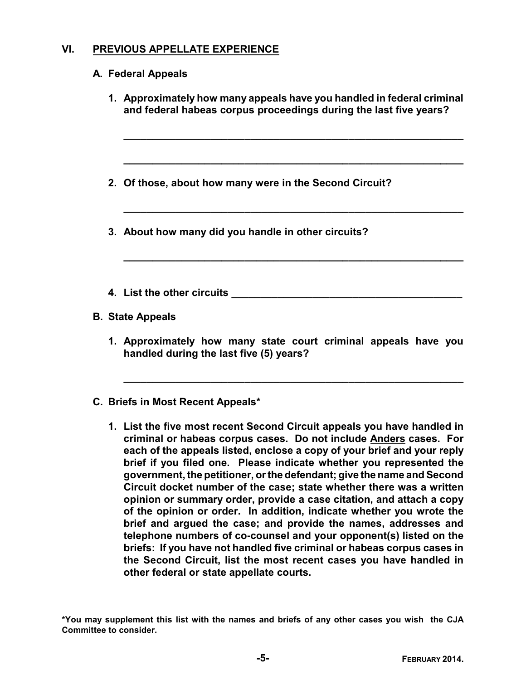## **VI. PREVIOUS APPELLATE EXPERIENCE**

### **A. Federal Appeals**

|  | 1. Approximately how many appeals have you handled in federal criminal<br>and federal habeas corpus proceedings during the last five years? |  |  |
|--|---------------------------------------------------------------------------------------------------------------------------------------------|--|--|
|  | 2. Of those, about how many were in the Second Circuit?                                                                                     |  |  |
|  | 3. About how many did you handle in other circuits?                                                                                         |  |  |
|  | 4. List the other circuits <b>Allection</b>                                                                                                 |  |  |
|  | <b>B. State Appeals</b>                                                                                                                     |  |  |
|  | 1. Approximately how many state court criminal appeals have you<br>handled during the last five (5) years?                                  |  |  |

#### **C. Briefs in Most Recent Appeals\***

**1. List the five most recent Second Circuit appeals you have handled in criminal or habeas corpus cases. Do not include Anders cases. For each of the appeals listed, enclose a copy of your brief and your reply brief if you filed one. Please indicate whether you represented the government, the petitioner, or the defendant; give the name and Second Circuit docket number of the case; state whether there was a written opinion or summary order, provide a case citation, and attach a copy of the opinion or order. In addition, indicate whether you wrote the brief and argued the case; and provide the names, addresses and telephone numbers of co-counsel and your opponent(s) listed on the briefs: If you have not handled five criminal or habeas corpus cases in the Second Circuit, list the most recent cases you have handled in other federal or state appellate courts.**

**\_\_\_\_\_\_\_\_\_\_\_\_\_\_\_\_\_\_\_\_\_\_\_\_\_\_\_\_\_\_\_\_\_\_\_\_\_\_\_\_\_\_\_\_\_\_\_\_\_\_\_\_\_\_\_\_\_\_\_**

**\*You may supplement this list with the names and briefs of any other cases you wish the CJA Committee to consider.**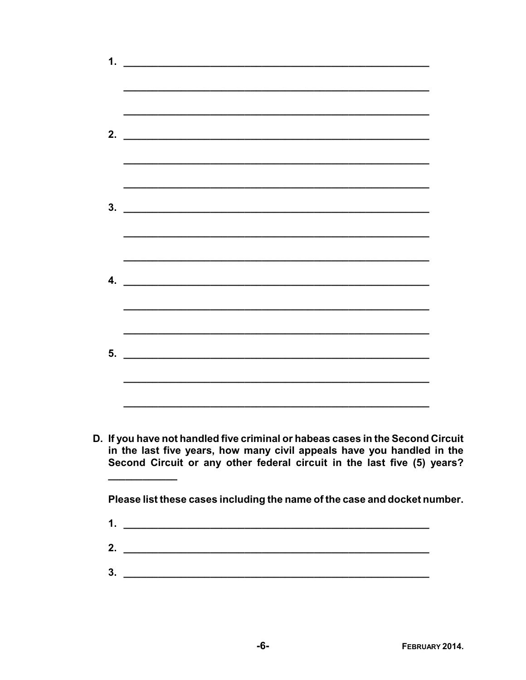| 1. | <u> 1989 - Johann John Stein, markin fan it fjort fan it fjort fan it fjort fan it fjort fan it fjort fan it fjort fan it fjort fan it fjort fan it fjort fan it fjort fan it fjort fan it fjort fan it fjort fan it fjort fan i</u> |
|----|--------------------------------------------------------------------------------------------------------------------------------------------------------------------------------------------------------------------------------------|
|    |                                                                                                                                                                                                                                      |
|    |                                                                                                                                                                                                                                      |
| 2. |                                                                                                                                                                                                                                      |
|    |                                                                                                                                                                                                                                      |
|    |                                                                                                                                                                                                                                      |
|    |                                                                                                                                                                                                                                      |
|    | $\overline{\mathbf{3.}}$ $\overline{\phantom{1}}$                                                                                                                                                                                    |
|    |                                                                                                                                                                                                                                      |
|    |                                                                                                                                                                                                                                      |
| 4. |                                                                                                                                                                                                                                      |
|    |                                                                                                                                                                                                                                      |
|    |                                                                                                                                                                                                                                      |
|    |                                                                                                                                                                                                                                      |
|    |                                                                                                                                                                                                                                      |
|    |                                                                                                                                                                                                                                      |
|    |                                                                                                                                                                                                                                      |
|    |                                                                                                                                                                                                                                      |

D. If you have not handled five criminal or habeas cases in the Second Circuit in the last five years, how many civil appeals have you handled in the Second Circuit or any other federal circuit in the last five (5) years?

Please list these cases including the name of the case and docket number.

- 1.  $\overline{\phantom{a}}$  1.  $\overline{\phantom{a}}$  1.  $\overline{\phantom{a}}$  1.  $\overline{\phantom{a}}$  1.  $\overline{\phantom{a}}$  1.  $\overline{\phantom{a}}$  1.  $\overline{\phantom{a}}$  1.  $\overline{\phantom{a}}$  1.  $\overline{\phantom{a}}$  1.  $\overline{\phantom{a}}$  1.  $\overline{\phantom{a}}$  1.  $\overline{\phantom{a}}$  1.  $\overline{\phantom{a}}$  1.  $\overline{\phantom{a}}$  1.  $\overline{\phantom{$
- $2.$
- $3.$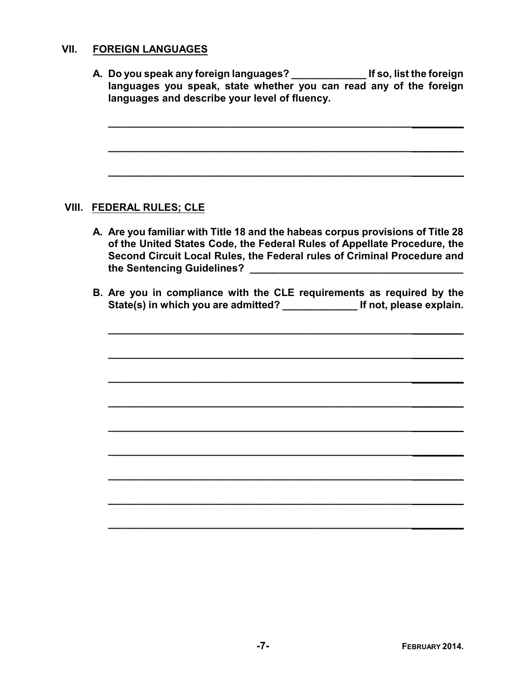#### **VII. FOREIGN LANGUAGES**

**A. Do you speak any foreign languages? \_\_\_\_\_\_\_\_\_\_\_\_\_ If so, list the foreign languages you speak, state whether you can read any of the foreign languages and describe your level of fluency.**

**\_\_\_\_\_\_\_\_\_\_\_\_\_\_\_\_\_\_\_\_\_\_\_\_\_\_\_\_\_\_\_\_\_\_\_\_\_\_\_\_\_\_\_\_\_\_\_\_\_\_\_\_\_\_\_\_\_\_\_\_\_\_**

**\_\_\_\_\_\_\_\_\_\_\_\_\_\_\_\_\_\_\_\_\_\_\_\_\_\_\_\_\_\_\_\_\_\_\_\_\_\_\_\_\_\_\_\_\_\_\_\_\_\_\_\_\_\_\_\_\_\_\_\_\_\_**

**\_\_\_\_\_\_\_\_\_\_\_\_\_\_\_\_\_\_\_\_\_\_\_\_\_\_\_\_\_\_\_\_\_\_\_\_\_\_\_\_\_\_\_\_\_\_\_\_\_\_\_\_\_\_\_\_\_\_\_\_\_\_**

#### **VIII. FEDERAL RULES; CLE**

- **A. Are you familiar with Title 18 and the habeas corpus provisions of Title 28 of the United States Code, the Federal Rules of Appellate Procedure, the Second Circuit Local Rules, the Federal rules of Criminal Procedure and the Sentencing Guidelines? \_\_\_\_\_\_\_\_\_\_\_\_\_\_\_\_\_\_\_\_\_\_\_\_\_\_\_\_\_\_\_\_\_\_\_\_\_**
- **B. Are you in compliance with the CLE requirements as required by the State(s) in which you are admitted? \_\_\_\_\_\_\_\_\_\_\_\_\_ If not, please explain.**

**\_\_\_\_\_\_\_\_\_\_\_\_\_\_\_\_\_\_\_\_\_\_\_\_\_\_\_\_\_\_\_\_\_\_\_\_\_\_\_\_\_\_\_\_\_\_\_\_\_\_\_\_\_\_\_\_\_\_\_\_\_\_**

**\_\_\_\_\_\_\_\_\_\_\_\_\_\_\_\_\_\_\_\_\_\_\_\_\_\_\_\_\_\_\_\_\_\_\_\_\_\_\_\_\_\_\_\_\_\_\_\_\_\_\_\_\_\_\_\_\_\_\_\_\_\_**

**\_\_\_\_\_\_\_\_\_\_\_\_\_\_\_\_\_\_\_\_\_\_\_\_\_\_\_\_\_\_\_\_\_\_\_\_\_\_\_\_\_\_\_\_\_\_\_\_\_\_\_\_\_\_\_\_\_\_\_\_\_\_**

**\_\_\_\_\_\_\_\_\_\_\_\_\_\_\_\_\_\_\_\_\_\_\_\_\_\_\_\_\_\_\_\_\_\_\_\_\_\_\_\_\_\_\_\_\_\_\_\_\_\_\_\_\_\_\_\_\_\_\_\_\_\_**

**\_\_\_\_\_\_\_\_\_\_\_\_\_\_\_\_\_\_\_\_\_\_\_\_\_\_\_\_\_\_\_\_\_\_\_\_\_\_\_\_\_\_\_\_\_\_\_\_\_\_\_\_\_\_\_\_\_\_\_\_\_\_**

**\_\_\_\_\_\_\_\_\_\_\_\_\_\_\_\_\_\_\_\_\_\_\_\_\_\_\_\_\_\_\_\_\_\_\_\_\_\_\_\_\_\_\_\_\_\_\_\_\_\_\_\_\_\_\_\_\_\_\_\_\_\_**

**\_\_\_\_\_\_\_\_\_\_\_\_\_\_\_\_\_\_\_\_\_\_\_\_\_\_\_\_\_\_\_\_\_\_\_\_\_\_\_\_\_\_\_\_\_\_\_\_\_\_\_\_\_\_\_\_\_\_\_\_\_\_**

**\_\_\_\_\_\_\_\_\_\_\_\_\_\_\_\_\_\_\_\_\_\_\_\_\_\_\_\_\_\_\_\_\_\_\_\_\_\_\_\_\_\_\_\_\_\_\_\_\_\_\_\_\_\_\_\_\_\_\_\_\_\_**

**\_\_\_\_\_\_\_\_\_\_\_\_\_\_\_\_\_\_\_\_\_\_\_\_\_\_\_\_\_\_\_\_\_\_\_\_\_\_\_\_\_\_\_\_\_\_\_\_\_\_\_\_\_\_\_\_\_\_\_\_\_\_**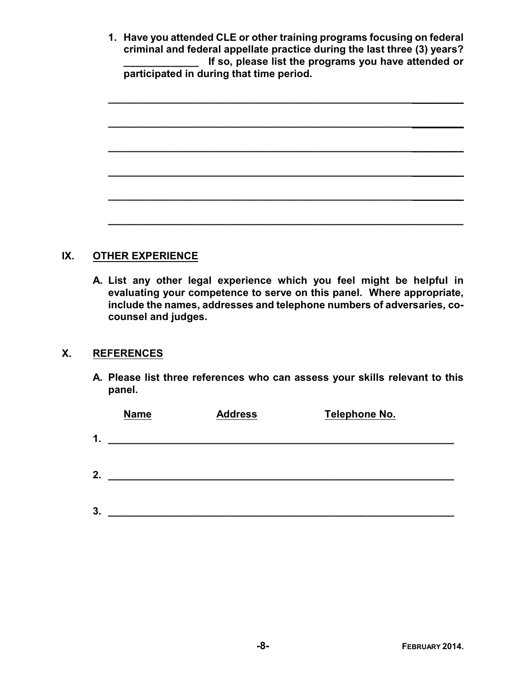|  | 1. Have you attended CLE or other training programs focusing on federal  |
|--|--------------------------------------------------------------------------|
|  | criminal and federal appellate practice during the last three (3) years? |
|  | If so, please list the programs you have attended or                     |
|  | participated in during that time period.                                 |

**\_\_\_\_\_\_\_\_\_\_\_\_\_\_\_\_\_\_\_\_\_\_\_\_\_\_\_\_\_\_\_\_\_\_\_\_\_\_\_\_\_\_\_\_\_\_\_\_\_\_\_\_\_\_\_\_\_\_\_\_\_\_**

## **IX. OTHER EXPERIENCE**

**A. List any other legal experience which you feel might be helpful in evaluating your competence to serve on this panel. Where appropriate, include the names, addresses and telephone numbers of adversaries, cocounsel and judges.**

#### **X. REFERENCES**

**A. Please list three references who can assess your skills relevant to this panel.**

|    | <b>Name</b> | <b>Address</b> | <b>Telephone No.</b> |  |
|----|-------------|----------------|----------------------|--|
| 1. |             |                |                      |  |
|    |             |                |                      |  |
| 2. |             |                |                      |  |
|    |             |                |                      |  |
| 3. |             |                |                      |  |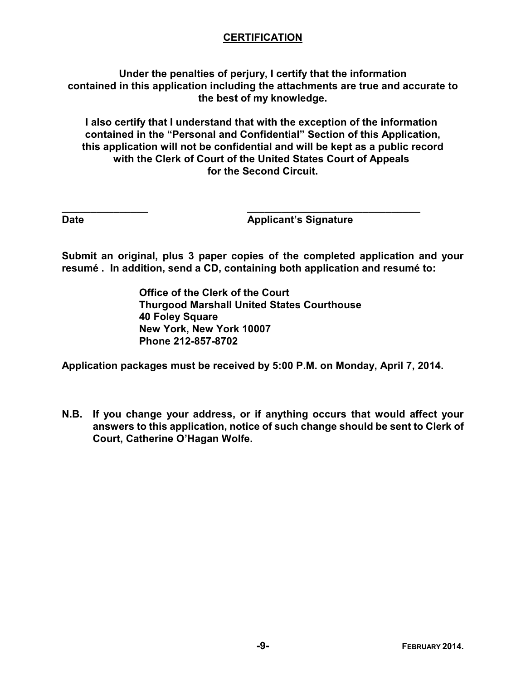## **CERTIFICATION**

**Under the penalties of perjury, I certify that the information contained in this application including the attachments are true and accurate to the best of my knowledge.**

**I also certify that I understand that with the exception of the information contained in the "Personal and Confidential" Section of this Application, this application will not be confidential and will be kept as a public record with the Clerk of Court of the United States Court of Appeals for the Second Circuit.**

**Date Contract Contract Contract Applicant's Signature** 

**Submit an original, plus 3 paper copies of the completed application and your resumé . In addition, send a CD, containing both application and resumé to:** 

> **Office of the Clerk of the Court Thurgood Marshall United States Courthouse 40 Foley Square New York, New York 10007 Phone 212-857-8702**

**\_\_\_\_\_\_\_\_\_\_\_\_\_\_\_ \_\_\_\_\_\_\_\_\_\_\_\_\_\_\_\_\_\_\_\_\_\_\_\_\_\_\_\_\_\_**

**Application packages must be received by 5:00 P.M. on Monday, April 7, 2014.**

**N.B. If you change your address, or if anything occurs that would affect your answers to this application, notice of such change should be sent to Clerk of Court, Catherine O'Hagan Wolfe.**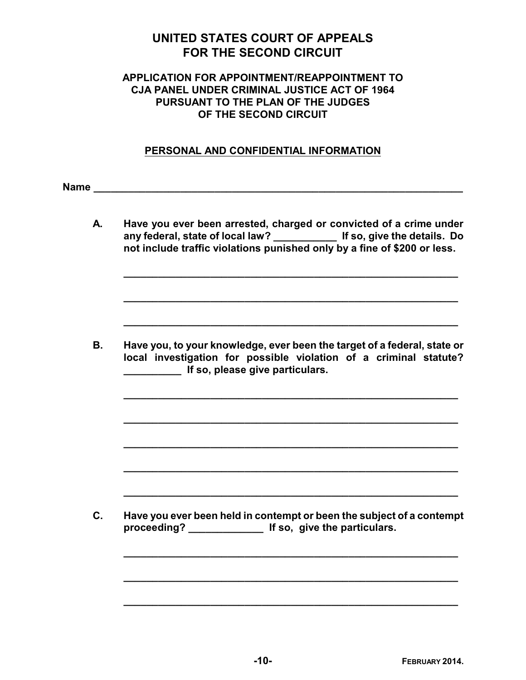# **UNITED STATES COURT OF APPEALS FOR THE SECOND CIRCUIT**

#### **APPLICATION FOR APPOINTMENT/REAPPOINTMENT TO CJA PANEL UNDER CRIMINAL JUSTICE ACT OF 1964 PURSUANT TO THE PLAN OF THE JUDGES OF THE SECOND CIRCUIT**

#### **PERSONAL AND CONFIDENTIAL INFORMATION**

**Name**  $\frac{1}{2}$  **Name**  $\frac{1}{2}$  **Name**  $\frac{1}{2}$  *Name*  $\frac{1}{2}$  *Name*  $\frac{1}{2}$  *Name*  $\frac{1}{2}$  *Name*  $\frac{1}{2}$  *Name*  $\frac{1}{2}$  *Name*  $\frac{1}{2}$  *Name*  $\frac{1}{2}$  *Name*  $\frac{1}{2}$  *Name*  $\frac{1}{2}$ 

**A. Have you ever been arrested, charged or convicted of a crime under any federal, state of local law? \_\_\_\_\_\_\_\_\_\_\_ If so, give the details. Do not include traffic violations punished only by a fine of \$200 or less.** 

**\_\_\_\_\_\_\_\_\_\_\_\_\_\_\_\_\_\_\_\_\_\_\_\_\_\_\_\_\_\_\_\_\_\_\_\_\_\_\_\_\_\_\_\_\_\_\_\_\_\_\_\_\_\_\_\_\_\_**

**\_\_\_\_\_\_\_\_\_\_\_\_\_\_\_\_\_\_\_\_\_\_\_\_\_\_\_\_\_\_\_\_\_\_\_\_\_\_\_\_\_\_\_\_\_\_\_\_\_\_\_\_\_\_\_\_\_\_**

**\_\_\_\_\_\_\_\_\_\_\_\_\_\_\_\_\_\_\_\_\_\_\_\_\_\_\_\_\_\_\_\_\_\_\_\_\_\_\_\_\_\_\_\_\_\_\_\_\_\_\_\_\_\_\_\_\_\_**

**\_\_\_\_\_\_\_\_\_\_\_\_\_\_\_\_\_\_\_\_\_\_\_\_\_\_\_\_\_\_\_\_\_\_\_\_\_\_\_\_\_\_\_\_\_\_\_\_\_\_\_\_\_\_\_\_\_\_**

**\_\_\_\_\_\_\_\_\_\_\_\_\_\_\_\_\_\_\_\_\_\_\_\_\_\_\_\_\_\_\_\_\_\_\_\_\_\_\_\_\_\_\_\_\_\_\_\_\_\_\_\_\_\_\_\_\_\_**

**\_\_\_\_\_\_\_\_\_\_\_\_\_\_\_\_\_\_\_\_\_\_\_\_\_\_\_\_\_\_\_\_\_\_\_\_\_\_\_\_\_\_\_\_\_\_\_\_\_\_\_\_\_\_\_\_\_\_**

**\_\_\_\_\_\_\_\_\_\_\_\_\_\_\_\_\_\_\_\_\_\_\_\_\_\_\_\_\_\_\_\_\_\_\_\_\_\_\_\_\_\_\_\_\_\_\_\_\_\_\_\_\_\_\_\_\_\_**

**\_\_\_\_\_\_\_\_\_\_\_\_\_\_\_\_\_\_\_\_\_\_\_\_\_\_\_\_\_\_\_\_\_\_\_\_\_\_\_\_\_\_\_\_\_\_\_\_\_\_\_\_\_\_\_\_\_\_**

**\_\_\_\_\_\_\_\_\_\_\_\_\_\_\_\_\_\_\_\_\_\_\_\_\_\_\_\_\_\_\_\_\_\_\_\_\_\_\_\_\_\_\_\_\_\_\_\_\_\_\_\_\_\_\_\_\_\_**

**\_\_\_\_\_\_\_\_\_\_\_\_\_\_\_\_\_\_\_\_\_\_\_\_\_\_\_\_\_\_\_\_\_\_\_\_\_\_\_\_\_\_\_\_\_\_\_\_\_\_\_\_\_\_\_\_\_\_**

**\_\_\_\_\_\_\_\_\_\_\_\_\_\_\_\_\_\_\_\_\_\_\_\_\_\_\_\_\_\_\_\_\_\_\_\_\_\_\_\_\_\_\_\_\_\_\_\_\_\_\_\_\_\_\_\_\_\_**

**B. Have you, to your knowledge, ever been the target of a federal, state or local investigation for possible violation of a criminal statute? \_\_\_\_\_\_\_\_\_\_ If so, please give particulars.** 

**C. Have you ever been held in contempt or been the subject of a contempt proceeding? \_\_\_\_\_\_\_\_\_\_\_\_\_ If so, give the particulars.**